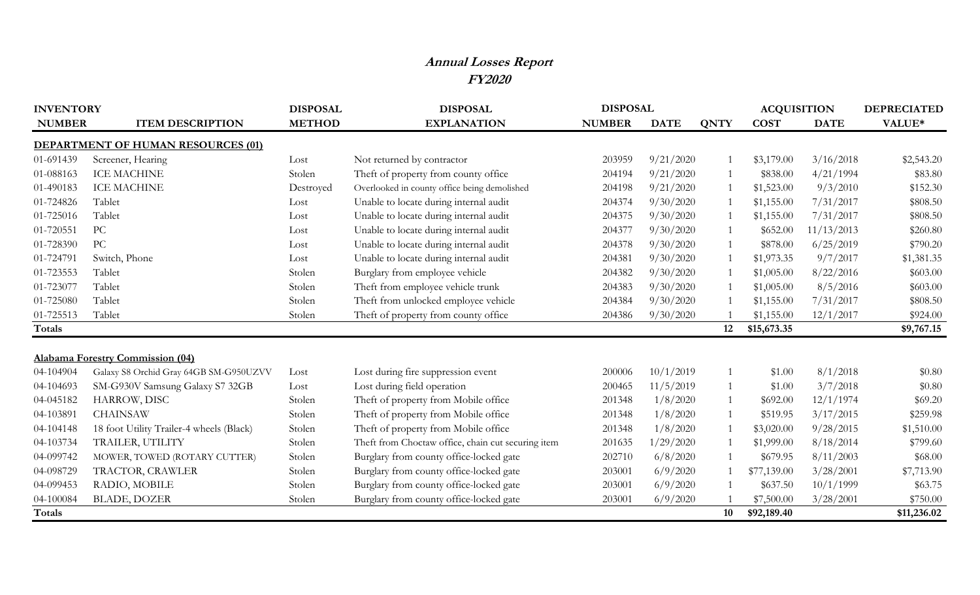## **Annual Losses Report FY2020**

| <b>INVENTORY</b> |                                           | <b>DISPOSAL</b> | <b>DISPOSAL</b>                                    | <b>DISPOSAL</b> |             |             | <b>ACQUISITION</b> | <b>DEPRECIATED</b> |             |
|------------------|-------------------------------------------|-----------------|----------------------------------------------------|-----------------|-------------|-------------|--------------------|--------------------|-------------|
| <b>NUMBER</b>    | <b>ITEM DESCRIPTION</b>                   | <b>METHOD</b>   | <b>EXPLANATION</b>                                 | <b>NUMBER</b>   | <b>DATE</b> | <b>QNTY</b> | <b>COST</b>        | <b>DATE</b>        | VALUE*      |
|                  | <b>DEPARTMENT OF HUMAN RESOURCES (01)</b> |                 |                                                    |                 |             |             |                    |                    |             |
| 01-691439        | Screener, Hearing                         | Lost            | Not returned by contractor                         | 203959          | 9/21/2020   |             | \$3,179.00         | 3/16/2018          | \$2,543.20  |
| 01-088163        | <b>ICE MACHINE</b>                        | Stolen          | Theft of property from county office               | 204194          | 9/21/2020   |             | \$838.00           | 4/21/1994          | \$83.80     |
| 01-490183        | <b>ICE MACHINE</b>                        | Destroyed       | Overlooked in county office being demolished       | 204198          | 9/21/2020   |             | \$1,523.00         | 9/3/2010           | \$152.30    |
| 01-724826        | Tablet                                    | Lost            | Unable to locate during internal audit             | 204374          | 9/30/2020   |             | \$1,155.00         | 7/31/2017          | \$808.50    |
| 01-725016        | Tablet                                    | Lost            | Unable to locate during internal audit             | 204375          | 9/30/2020   |             | \$1,155.00         | 7/31/2017          | \$808.50    |
| 01-720551        | PC                                        | Lost            | Unable to locate during internal audit             | 204377          | 9/30/2020   |             | \$652.00           | 11/13/2013         | \$260.80    |
| 01-728390        | PC                                        | Lost            | Unable to locate during internal audit             | 204378          | 9/30/2020   |             | \$878.00           | 6/25/2019          | \$790.20    |
| 01-724791        | Switch, Phone                             | Lost            | Unable to locate during internal audit             | 204381          | 9/30/2020   |             | \$1,973.35         | 9/7/2017           | \$1,381.35  |
| 01-723553        | Tablet                                    | Stolen          | Burglary from employee vehicle                     | 204382          | 9/30/2020   |             | \$1,005.00         | 8/22/2016          | \$603.00    |
| 01-723077        | Tablet                                    | Stolen          | Theft from employee vehicle trunk                  | 204383          | 9/30/2020   |             | \$1,005.00         | 8/5/2016           | \$603.00    |
| 01-725080        | Tablet                                    | Stolen          | Theft from unlocked employee vehicle               | 204384          | 9/30/2020   |             | \$1,155.00         | 7/31/2017          | \$808.50    |
| 01-725513        | Tablet                                    | Stolen          | Theft of property from county office               | 204386          | 9/30/2020   |             | \$1,155.00         | 12/1/2017          | \$924.00    |
| Totals           |                                           |                 |                                                    |                 |             | 12          | \$15,673.35        |                    | \$9,767.15  |
|                  |                                           |                 |                                                    |                 |             |             |                    |                    |             |
|                  | <b>Alabama Forestry Commission (04)</b>   |                 |                                                    |                 |             |             |                    |                    |             |
| 04-104904        | Galaxy S8 Orchid Gray 64GB SM-G950UZVV    | Lost            | Lost during fire suppression event                 | 200006          | 10/1/2019   |             | \$1.00             | 8/1/2018           | \$0.80      |
| 04-104693        | SM-G930V Samsung Galaxy S7 32GB           | Lost            | Lost during field operation                        | 200465          | 11/5/2019   |             | \$1.00             | 3/7/2018           | \$0.80      |
| 04-045182        | HARROW, DISC                              | Stolen          | Theft of property from Mobile office               | 201348          | 1/8/2020    |             | \$692.00           | 12/1/1974          | \$69.20     |
| 04-103891        | <b>CHAINSAW</b>                           | Stolen          | Theft of property from Mobile office               | 201348          | 1/8/2020    |             | \$519.95           | 3/17/2015          | \$259.98    |
| 04-104148        | 18 foot Utility Trailer-4 wheels (Black)  | Stolen          | Theft of property from Mobile office               | 201348          | 1/8/2020    |             | \$3,020.00         | 9/28/2015          | \$1,510.00  |
| 04-103734        | TRAILER, UTILITY                          | Stolen          | Theft from Choctaw office, chain cut securing item | 201635          | 1/29/2020   |             | \$1,999.00         | 8/18/2014          | \$799.60    |
| 04-099742        | MOWER, TOWED (ROTARY CUTTER)              | Stolen          | Burglary from county office-locked gate            | 202710          | 6/8/2020    |             | \$679.95           | 8/11/2003          | \$68.00     |
| 04-098729        | TRACTOR, CRAWLER                          | Stolen          | Burglary from county office-locked gate            | 203001          | 6/9/2020    |             | \$77,139.00        | 3/28/2001          | \$7,713.90  |
| 04-099453        | RADIO, MOBILE                             | Stolen          | Burglary from county office-locked gate            | 203001          | 6/9/2020    |             | \$637.50           | 10/1/1999          | \$63.75     |
| 04-100084        | <b>BLADE, DOZER</b>                       | Stolen          | Burglary from county office-locked gate            | 203001          | 6/9/2020    |             | \$7,500.00         | 3/28/2001          | \$750.00    |
| Totals           |                                           |                 |                                                    |                 |             | 10          | \$92,189.40        |                    | \$11,236.02 |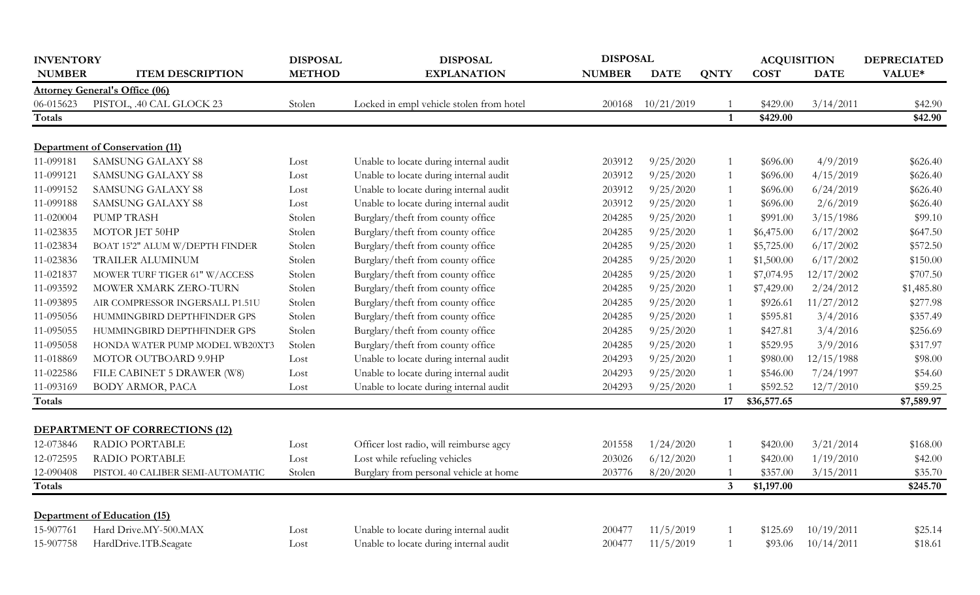| <b>INVENTORY</b> |                                        | <b>DISPOSAL</b> | <b>DISPOSAL</b>                          | <b>DISPOSAL</b> |             |                | <b>ACQUISITION</b> |             | <b>DEPRECIATED</b> |
|------------------|----------------------------------------|-----------------|------------------------------------------|-----------------|-------------|----------------|--------------------|-------------|--------------------|
| <b>NUMBER</b>    | <b>ITEM DESCRIPTION</b>                | <b>METHOD</b>   | <b>EXPLANATION</b>                       | <b>NUMBER</b>   | <b>DATE</b> | <b>QNTY</b>    | <b>COST</b>        | <b>DATE</b> | VALUE*             |
|                  | <b>Attorney General's Office (06)</b>  |                 |                                          |                 |             |                |                    |             |                    |
| 06-015623        | PISTOL, .40 CAL GLOCK 23               | Stolen          | Locked in empl vehicle stolen from hotel | 200168          | 10/21/2019  |                | \$429.00           | 3/14/2011   | \$42.90            |
| Totals           |                                        |                 |                                          |                 |             | $\mathbf{1}$   | \$429.00           |             | \$42.90            |
|                  |                                        |                 |                                          |                 |             |                |                    |             |                    |
|                  | <b>Department of Conservation (11)</b> |                 |                                          |                 |             |                |                    |             |                    |
| 11-099181        | <b>SAMSUNG GALAXY S8</b>               | Lost            | Unable to locate during internal audit   | 203912          | 9/25/2020   | $\mathbf{1}$   | \$696.00           | 4/9/2019    | \$626.40           |
| 11-099121        | <b>SAMSUNG GALAXY S8</b>               | Lost            | Unable to locate during internal audit   | 203912          | 9/25/2020   |                | \$696.00           | 4/15/2019   | \$626.40           |
| 11-099152        | <b>SAMSUNG GALAXY S8</b>               | Lost            | Unable to locate during internal audit   | 203912          | 9/25/2020   |                | \$696.00           | 6/24/2019   | \$626.40           |
| 11-099188        | <b>SAMSUNG GALAXY S8</b>               | Lost            | Unable to locate during internal audit   | 203912          | 9/25/2020   |                | \$696.00           | 2/6/2019    | \$626.40           |
| 11-020004        | <b>PUMP TRASH</b>                      | Stolen          | Burglary/theft from county office        | 204285          | 9/25/2020   |                | \$991.00           | 3/15/1986   | \$99.10            |
| 11-023835        | MOTOR JET 50HP                         | Stolen          | Burglary/theft from county office        | 204285          | 9/25/2020   |                | \$6,475.00         | 6/17/2002   | \$647.50           |
| 11-023834        | BOAT 15'2" ALUM W/DEPTH FINDER         | Stolen          | Burglary/theft from county office        | 204285          | 9/25/2020   |                | \$5,725.00         | 6/17/2002   | \$572.50           |
| 11-023836        | TRAILER ALUMINUM                       | Stolen          | Burglary/theft from county office        | 204285          | 9/25/2020   |                | \$1,500.00         | 6/17/2002   | \$150.00           |
| 11-021837        | MOWER TURF TIGER 61" W/ACCESS          | Stolen          | Burglary/theft from county office        | 204285          | 9/25/2020   |                | \$7,074.95         | 12/17/2002  | \$707.50           |
| 11-093592        | MOWER XMARK ZERO-TURN                  | Stolen          | Burglary/theft from county office        | 204285          | 9/25/2020   |                | \$7,429.00         | 2/24/2012   | \$1,485.80         |
| 11-093895        | AIR COMPRESSOR INGERSALL P1.51U        | Stolen          | Burglary/theft from county office        | 204285          | 9/25/2020   |                | \$926.61           | 11/27/2012  | \$277.98           |
| 11-095056        | HUMMINGBIRD DEPTHFINDER GPS            | Stolen          | Burglary/theft from county office        | 204285          | 9/25/2020   |                | \$595.81           | 3/4/2016    | \$357.49           |
| 11-095055        | HUMMINGBIRD DEPTHFINDER GPS            | Stolen          | Burglary/theft from county office        | 204285          | 9/25/2020   | $\overline{1}$ | \$427.81           | 3/4/2016    | \$256.69           |
| 11-095058        | HONDA WATER PUMP MODEL WB20XT3         | Stolen          | Burglary/theft from county office        | 204285          | 9/25/2020   |                | \$529.95           | 3/9/2016    | \$317.97           |
| 11-018869        | MOTOR OUTBOARD 9.9HP                   | Lost            | Unable to locate during internal audit   | 204293          | 9/25/2020   |                | \$980.00           | 12/15/1988  | \$98.00            |
| 11-022586        | FILE CABINET 5 DRAWER (W8)             | Lost            | Unable to locate during internal audit   | 204293          | 9/25/2020   |                | \$546.00           | 7/24/1997   | \$54.60            |
| 11-093169        | BODY ARMOR, PACA                       | Lost            | Unable to locate during internal audit   | 204293          | 9/25/2020   |                | \$592.52           | 12/7/2010   | \$59.25            |
| <b>Totals</b>    |                                        |                 |                                          |                 |             | 17             | \$36,577.65        |             | \$7,589.97         |
|                  |                                        |                 |                                          |                 |             |                |                    |             |                    |
|                  | <b>DEPARTMENT OF CORRECTIONS (12)</b>  |                 |                                          |                 |             |                |                    |             |                    |
| 12-073846        | RADIO PORTABLE                         | Lost            | Officer lost radio, will reimburse agcy  | 201558          | 1/24/2020   | $\mathbf{1}$   | \$420.00           | 3/21/2014   | \$168.00           |
| 12-072595        | <b>RADIO PORTABLE</b>                  | Lost            | Lost while refueling vehicles            | 203026          | 6/12/2020   |                | \$420.00           | 1/19/2010   | \$42.00            |
| 12-090408        | PISTOL 40 CALIBER SEMI-AUTOMATIC       | Stolen          | Burglary from personal vehicle at home   | 203776          | 8/20/2020   |                | \$357.00           | 3/15/2011   | \$35.70            |
| <b>Totals</b>    |                                        |                 |                                          |                 |             | $\mathbf{3}$   | \$1,197.00         |             | \$245.70           |
|                  |                                        |                 |                                          |                 |             |                |                    |             |                    |
|                  | Department of Education (15)           |                 |                                          |                 |             |                |                    |             |                    |
| 15-907761        | Hard Drive.MY-500.MAX                  | Lost            | Unable to locate during internal audit   | 200477          | 11/5/2019   |                | \$125.69           | 10/19/2011  | \$25.14            |
| 15-907758        | HardDrive.1TB.Seagate                  | Lost            | Unable to locate during internal audit   | 200477          | 11/5/2019   | $\mathbf{1}$   | \$93.06            | 10/14/2011  | \$18.61            |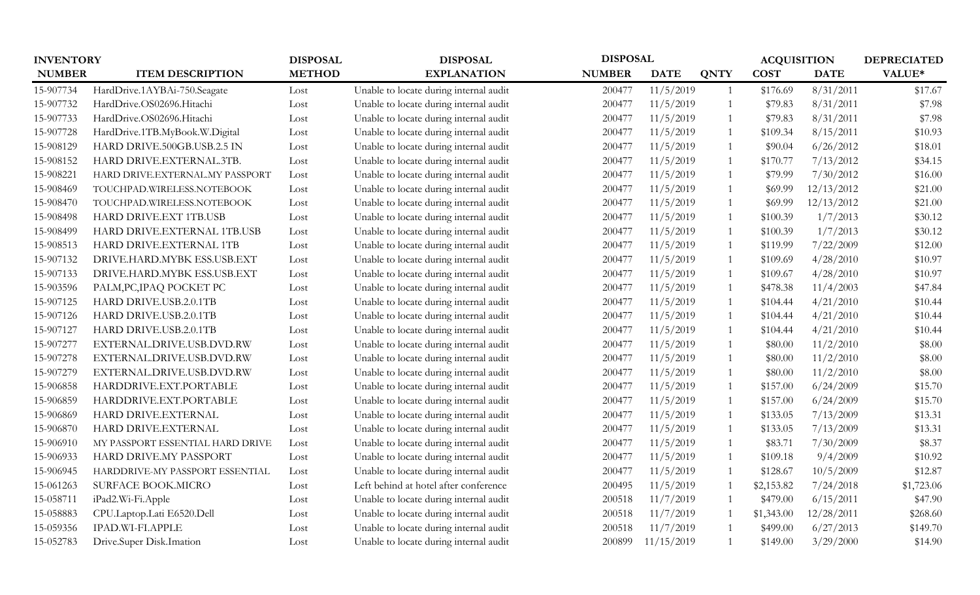|               | <b>INVENTORY</b>                 |               | <b>DISPOSAL</b>                        |               | <b>DISPOSAL</b> |                | <b>ACQUISITION</b> |             | <b>DEPRECIATED</b> |
|---------------|----------------------------------|---------------|----------------------------------------|---------------|-----------------|----------------|--------------------|-------------|--------------------|
| <b>NUMBER</b> | <b>ITEM DESCRIPTION</b>          | <b>METHOD</b> | <b>EXPLANATION</b>                     | <b>NUMBER</b> | <b>DATE</b>     | <b>QNTY</b>    | <b>COST</b>        | <b>DATE</b> | VALUE*             |
| 15-907734     | HardDrive.1AYBAi-750.Seagate     | Lost          | Unable to locate during internal audit | 200477        | 11/5/2019       | $\mathbf{1}$   | \$176.69           | 8/31/2011   | \$17.67            |
| 15-907732     | HardDrive.OS02696.Hitachi        | Lost          | Unable to locate during internal audit | 200477        | 11/5/2019       | -1             | \$79.83            | 8/31/2011   | \$7.98             |
| 15-907733     | HardDrive.OS02696.Hitachi        | Lost          | Unable to locate during internal audit | 200477        | 11/5/2019       |                | \$79.83            | 8/31/2011   | \$7.98             |
| 15-907728     | HardDrive.1TB.MyBook.W.Digital   | Lost          | Unable to locate during internal audit | 200477        | 11/5/2019       | $\mathbf{1}$   | \$109.34           | 8/15/2011   | \$10.93            |
| 15-908129     | HARD DRIVE.500GB.USB.2.5 IN      | Lost          | Unable to locate during internal audit | 200477        | 11/5/2019       | $\mathbf{1}$   | \$90.04            | 6/26/2012   | \$18.01            |
| 15-908152     | HARD DRIVE.EXTERNAL.3TB.         | Lost          | Unable to locate during internal audit | 200477        | 11/5/2019       | 1              | \$170.77           | 7/13/2012   | \$34.15            |
| 15-908221     | HARD DRIVE.EXTERNAL.MY PASSPORT  | Lost          | Unable to locate during internal audit | 200477        | 11/5/2019       |                | \$79.99            | 7/30/2012   | \$16.00            |
| 15-908469     | TOUCHPAD.WIRELESS.NOTEBOOK       | Lost          | Unable to locate during internal audit | 200477        | 11/5/2019       | $\mathbf{1}$   | \$69.99            | 12/13/2012  | \$21.00            |
| 15-908470     | TOUCHPAD.WIRELESS.NOTEBOOK       | Lost          | Unable to locate during internal audit | 200477        | 11/5/2019       | $\mathbf{1}$   | \$69.99            | 12/13/2012  | \$21.00            |
| 15-908498     | HARD DRIVE.EXT 1TB.USB           | Lost          | Unable to locate during internal audit | 200477        | 11/5/2019       | $\overline{1}$ | \$100.39           | 1/7/2013    | \$30.12            |
| 15-908499     | HARD DRIVE.EXTERNAL 1TB.USB      | Lost          | Unable to locate during internal audit | 200477        | 11/5/2019       | $\mathbf{1}$   | \$100.39           | 1/7/2013    | \$30.12            |
| 15-908513     | HARD DRIVE.EXTERNAL 1TB          | Lost          | Unable to locate during internal audit | 200477        | 11/5/2019       | $\mathbf{1}$   | \$119.99           | 7/22/2009   | \$12.00            |
| 15-907132     | DRIVE.HARD.MYBK ESS.USB.EXT      | Lost          | Unable to locate during internal audit | 200477        | 11/5/2019       | $\mathbf{1}$   | \$109.69           | 4/28/2010   | \$10.97            |
| 15-907133     | DRIVE.HARD.MYBK ESS.USB.EXT      | Lost          | Unable to locate during internal audit | 200477        | 11/5/2019       | 1              | \$109.67           | 4/28/2010   | \$10.97            |
| 15-903596     | PALM, PC, IPAQ POCKET PC         | Lost          | Unable to locate during internal audit | 200477        | 11/5/2019       | $\overline{1}$ | \$478.38           | 11/4/2003   | \$47.84            |
| 15-907125     | HARD DRIVE.USB.2.0.1TB           | Lost          | Unable to locate during internal audit | 200477        | 11/5/2019       | $\mathbf{1}$   | \$104.44           | 4/21/2010   | \$10.44            |
| 15-907126     | HARD DRIVE.USB.2.0.1TB           | Lost          | Unable to locate during internal audit | 200477        | 11/5/2019       | $\mathbf{1}$   | \$104.44           | 4/21/2010   | \$10.44            |
| 15-907127     | HARD DRIVE.USB.2.0.1TB           | Lost          | Unable to locate during internal audit | 200477        | 11/5/2019       |                | \$104.44           | 4/21/2010   | \$10.44            |
| 15-907277     | EXTERNAL.DRIVE.USB.DVD.RW        | Lost          | Unable to locate during internal audit | 200477        | 11/5/2019       |                | \$80.00            | 11/2/2010   | \$8.00             |
| 15-907278     | EXTERNAL.DRIVE.USB.DVD.RW        | Lost          | Unable to locate during internal audit | 200477        | 11/5/2019       | $\mathbf{1}$   | \$80.00            | 11/2/2010   | \$8.00             |
| 15-907279     | EXTERNAL.DRIVE.USB.DVD.RW        | Lost          | Unable to locate during internal audit | 200477        | 11/5/2019       |                | \$80.00            | 11/2/2010   | \$8.00             |
| 15-906858     | HARDDRIVE.EXT.PORTABLE           | Lost          | Unable to locate during internal audit | 200477        | 11/5/2019       | $\mathbf{1}$   | \$157.00           | 6/24/2009   | \$15.70            |
| 15-906859     | HARDDRIVE.EXT.PORTABLE           | Lost          | Unable to locate during internal audit | 200477        | 11/5/2019       | $\mathbf{1}$   | \$157.00           | 6/24/2009   | \$15.70            |
| 15-906869     | HARD DRIVE.EXTERNAL              | Lost          | Unable to locate during internal audit | 200477        | 11/5/2019       | $\mathbf{1}$   | \$133.05           | 7/13/2009   | \$13.31            |
| 15-906870     | HARD DRIVE.EXTERNAL              | Lost          | Unable to locate during internal audit | 200477        | 11/5/2019       | $\overline{1}$ | \$133.05           | 7/13/2009   | \$13.31            |
| 15-906910     | MY PASSPORT ESSENTIAL HARD DRIVE | Lost          | Unable to locate during internal audit | 200477        | 11/5/2019       | -1             | \$83.71            | 7/30/2009   | \$8.37             |
| 15-906933     | HARD DRIVE.MY PASSPORT           | Lost          | Unable to locate during internal audit | 200477        | 11/5/2019       | $\overline{1}$ | \$109.18           | 9/4/2009    | \$10.92            |
| 15-906945     | HARDDRIVE-MY PASSPORT ESSENTIAL  | Lost          | Unable to locate during internal audit | 200477        | 11/5/2019       | 1              | \$128.67           | 10/5/2009   | \$12.87            |
| 15-061263     | <b>SURFACE BOOK.MICRO</b>        | Lost          | Left behind at hotel after conference  | 200495        | 11/5/2019       |                | \$2,153.82         | 7/24/2018   | \$1,723.06         |
| 15-058711     | iPad2.Wi-Fi.Apple                | Lost          | Unable to locate during internal audit | 200518        | 11/7/2019       |                | \$479.00           | 6/15/2011   | \$47.90            |
| 15-058883     | CPU.Laptop.Lati E6520.Dell       | Lost          | Unable to locate during internal audit | 200518        | 11/7/2019       | -1             | \$1,343.00         | 12/28/2011  | \$268.60           |
| 15-059356     | IPAD.WI-FI.APPLE                 | Lost          | Unable to locate during internal audit | 200518        | 11/7/2019       |                | \$499.00           | 6/27/2013   | \$149.70           |
| 15-052783     | Drive.Super Disk.Imation         | Lost          | Unable to locate during internal audit | 200899        | 11/15/2019      |                | \$149.00           | 3/29/2000   | \$14.90            |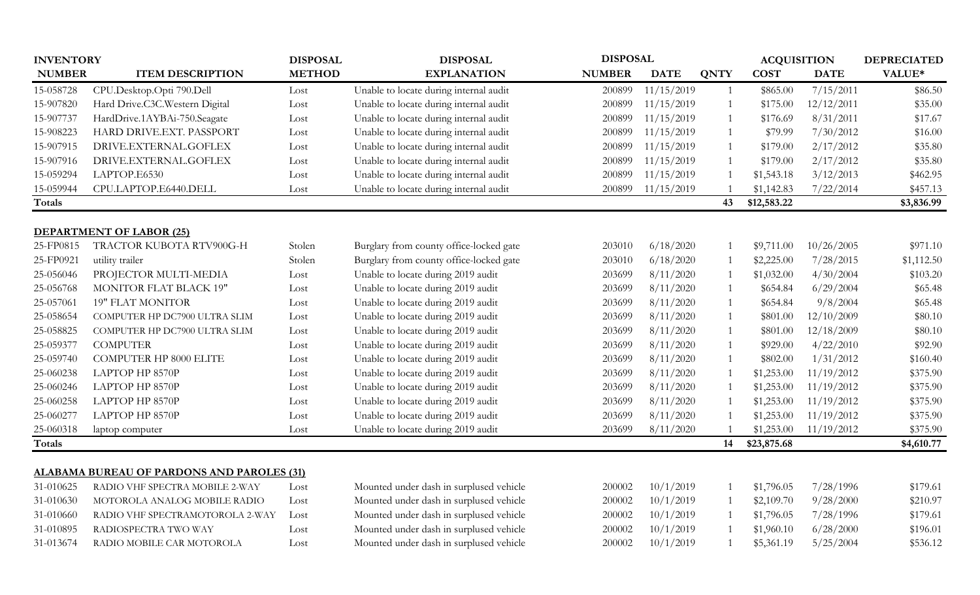|               | <b>INVENTORY</b>                                  |               | <b>DISPOSAL</b>                         |               | <b>DISPOSAL</b> |                |             |             | <b>ACQUISITION</b> |  | <b>DEPRECIATED</b> |
|---------------|---------------------------------------------------|---------------|-----------------------------------------|---------------|-----------------|----------------|-------------|-------------|--------------------|--|--------------------|
| <b>NUMBER</b> | <b>ITEM DESCRIPTION</b>                           | <b>METHOD</b> | <b>EXPLANATION</b>                      | <b>NUMBER</b> | <b>DATE</b>     | <b>QNTY</b>    | <b>COST</b> | <b>DATE</b> | VALUE*             |  |                    |
| 15-058728     | CPU.Desktop.Opti 790.Dell                         | Lost          | Unable to locate during internal audit  | 200899        | 11/15/2019      | 1              | \$865.00    | 7/15/2011   | \$86.50            |  |                    |
| 15-907820     | Hard Drive.C3C.Western Digital                    | Lost          | Unable to locate during internal audit  | 200899        | 11/15/2019      | 1              | \$175.00    | 12/12/2011  | \$35.00            |  |                    |
| 15-907737     | HardDrive.1AYBAi-750.Seagate                      | Lost          | Unable to locate during internal audit  | 200899        | 11/15/2019      | 1              | \$176.69    | 8/31/2011   | \$17.67            |  |                    |
| 15-908223     | HARD DRIVE.EXT. PASSPORT                          | Lost          | Unable to locate during internal audit  | 200899        | 11/15/2019      | 1              | \$79.99     | 7/30/2012   | \$16.00            |  |                    |
| 15-907915     | DRIVE.EXTERNAL.GOFLEX                             | Lost          | Unable to locate during internal audit  | 200899        | 11/15/2019      | 1              | \$179.00    | 2/17/2012   | \$35.80            |  |                    |
| 15-907916     | DRIVE.EXTERNAL.GOFLEX                             | Lost          | Unable to locate during internal audit  | 200899        | 11/15/2019      | $\overline{1}$ | \$179.00    | 2/17/2012   | \$35.80            |  |                    |
| 15-059294     | LAPTOP.E6530                                      | Lost          | Unable to locate during internal audit  | 200899        | 11/15/2019      | $\overline{1}$ | \$1,543.18  | 3/12/2013   | \$462.95           |  |                    |
| 15-059944     | CPU.LAPTOP.E6440.DELL                             | Lost          | Unable to locate during internal audit  | 200899        | 11/15/2019      | $\overline{1}$ | \$1,142.83  | 7/22/2014   | \$457.13           |  |                    |
| Totals        |                                                   |               |                                         |               |                 | 43             | \$12,583.22 |             | \$3,836.99         |  |                    |
|               | <b>DEPARTMENT OF LABOR (25)</b>                   |               |                                         |               |                 |                |             |             |                    |  |                    |
| 25-FP0815     | TRACTOR KUBOTA RTV900G-H                          | Stolen        | Burglary from county office-locked gate | 203010        | 6/18/2020       | -1             | \$9,711.00  | 10/26/2005  | \$971.10           |  |                    |
| 25-FP0921     | utility trailer                                   | Stolen        | Burglary from county office-locked gate | 203010        | 6/18/2020       | $\overline{1}$ | \$2,225.00  | 7/28/2015   | \$1,112.50         |  |                    |
| 25-056046     | PROJECTOR MULTI-MEDIA                             | Lost          | Unable to locate during 2019 audit      | 203699        | 8/11/2020       | 1              | \$1,032.00  | 4/30/2004   | \$103.20           |  |                    |
| 25-056768     | <b>MONITOR FLAT BLACK 19"</b>                     | Lost          | Unable to locate during 2019 audit      | 203699        | 8/11/2020       | $\mathbf{1}$   | \$654.84    | 6/29/2004   | \$65.48            |  |                    |
| 25-057061     | <b>19" FLAT MONITOR</b>                           | Lost          | Unable to locate during 2019 audit      | 203699        | 8/11/2020       | 1              | \$654.84    | 9/8/2004    | \$65.48            |  |                    |
| 25-058654     | COMPUTER HP DC7900 ULTRA SLIM                     | Lost          | Unable to locate during 2019 audit      | 203699        | 8/11/2020       | $\mathbf{1}$   | \$801.00    | 12/10/2009  | \$80.10            |  |                    |
| 25-058825     | COMPUTER HP DC7900 ULTRA SLIM                     | Lost          | Unable to locate during 2019 audit      | 203699        | 8/11/2020       | 1              | \$801.00    | 12/18/2009  | \$80.10            |  |                    |
| 25-059377     | <b>COMPUTER</b>                                   | Lost          | Unable to locate during 2019 audit      | 203699        | 8/11/2020       | 1              | \$929.00    | 4/22/2010   | \$92.90            |  |                    |
| 25-059740     | <b>COMPUTER HP 8000 ELITE</b>                     | Lost          | Unable to locate during 2019 audit      | 203699        | 8/11/2020       | 1              | \$802.00    | 1/31/2012   | \$160.40           |  |                    |
| 25-060238     | LAPTOP HP 8570P                                   | Lost          | Unable to locate during 2019 audit      | 203699        | 8/11/2020       |                | \$1,253.00  | 11/19/2012  | \$375.90           |  |                    |
| 25-060246     | LAPTOP HP 8570P                                   | Lost          | Unable to locate during 2019 audit      | 203699        | 8/11/2020       | $\overline{1}$ | \$1,253.00  | 11/19/2012  | \$375.90           |  |                    |
| 25-060258     | LAPTOP HP 8570P                                   | Lost          | Unable to locate during 2019 audit      | 203699        | 8/11/2020       | $\overline{1}$ | \$1,253.00  | 11/19/2012  | \$375.90           |  |                    |
| 25-060277     | LAPTOP HP 8570P                                   | Lost          | Unable to locate during 2019 audit      | 203699        | 8/11/2020       | $\overline{1}$ | \$1,253.00  | 11/19/2012  | \$375.90           |  |                    |
| 25-060318     | laptop computer                                   | Lost          | Unable to locate during 2019 audit      | 203699        | 8/11/2020       |                | \$1,253.00  | 11/19/2012  | \$375.90           |  |                    |
| Totals        |                                                   |               |                                         |               |                 | 14             | \$23,875.68 |             | \$4,610.77         |  |                    |
|               |                                                   |               |                                         |               |                 |                |             |             |                    |  |                    |
|               | <b>ALABAMA BUREAU OF PARDONS AND PAROLES (31)</b> |               |                                         |               |                 |                |             |             |                    |  |                    |
| 31-010625     | RADIO VHF SPECTRA MOBILE 2-WAY                    | Lost          | Mounted under dash in surplused vehicle | 200002        | 10/1/2019       | 1              | \$1,796.05  | 7/28/1996   | \$179.61           |  |                    |
| 31-010630     | MOTOROLA ANALOG MOBILE RADIO                      | Lost          | Mounted under dash in surplused vehicle | 200002        | 10/1/2019       | $\overline{1}$ | \$2,109.70  | 9/28/2000   | \$210.97           |  |                    |
| 31-010660     | RADIO VHF SPECTRAMOTOROLA 2-WAY                   | Lost          | Mounted under dash in surplused vehicle | 200002        | 10/1/2019       | 1              | \$1,796.05  | 7/28/1996   | \$179.61           |  |                    |
| 31-010895     | RADIOSPECTRA TWO WAY                              | Lost          | Mounted under dash in surplused vehicle | 200002        | 10/1/2019       |                | \$1,960.10  | 6/28/2000   | \$196.01           |  |                    |
| 31-013674     | RADIO MOBILE CAR MOTOROLA                         | Lost          | Mounted under dash in surplused vehicle | 200002        | 10/1/2019       | $\mathbf{1}$   | \$5,361.19  | 5/25/2004   | \$536.12           |  |                    |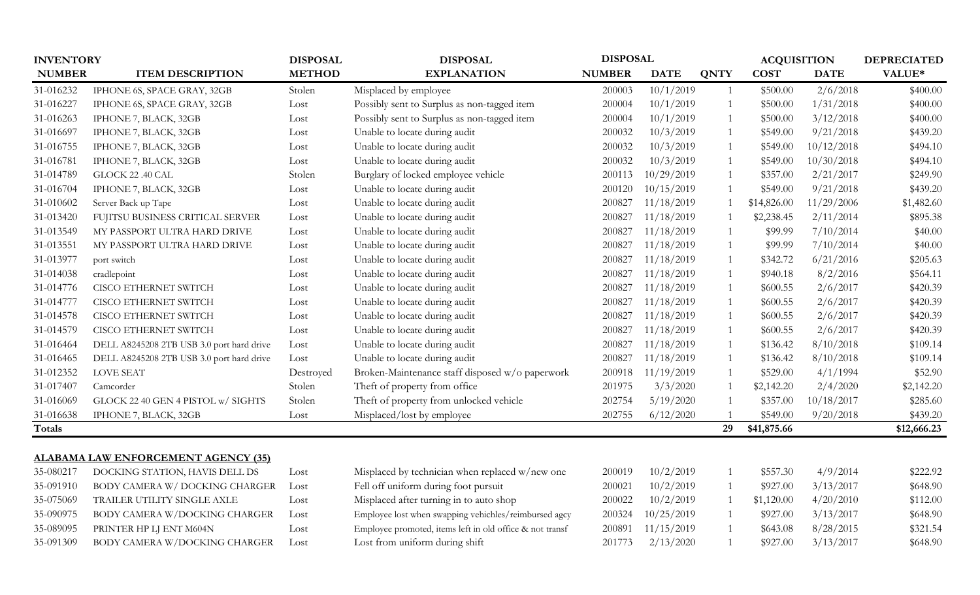|               | <b>INVENTORY</b>                           |               | <b>DISPOSAL</b>                                          | <b>DISPOSAL</b> |             |              | <b>ACQUISITION</b> |             | <b>DEPRECIATED</b> |
|---------------|--------------------------------------------|---------------|----------------------------------------------------------|-----------------|-------------|--------------|--------------------|-------------|--------------------|
| <b>NUMBER</b> | <b>ITEM DESCRIPTION</b>                    | <b>METHOD</b> | <b>EXPLANATION</b>                                       | <b>NUMBER</b>   | <b>DATE</b> | <b>QNTY</b>  | <b>COST</b>        | <b>DATE</b> | VALUE*             |
| 31-016232     | IPHONE 6S, SPACE GRAY, 32GB                | Stolen        | Misplaced by employee                                    | 200003          | 10/1/2019   | $\mathbf{1}$ | \$500.00           | 2/6/2018    | \$400.00           |
| 31-016227     | IPHONE 6S, SPACE GRAY, 32GB                | Lost          | Possibly sent to Surplus as non-tagged item              | 200004          | 10/1/2019   |              | \$500.00           | 1/31/2018   | \$400.00           |
| 31-016263     | IPHONE 7, BLACK, 32GB                      | Lost          | Possibly sent to Surplus as non-tagged item              | 200004          | 10/1/2019   | -1           | \$500.00           | 3/12/2018   | \$400.00           |
| 31-016697     | IPHONE 7, BLACK, 32GB                      | Lost          | Unable to locate during audit                            | 200032          | 10/3/2019   | 1            | \$549.00           | 9/21/2018   | \$439.20           |
| 31-016755     | IPHONE 7, BLACK, 32GB                      | Lost          | Unable to locate during audit                            | 200032          | 10/3/2019   | 1            | \$549.00           | 10/12/2018  | \$494.10           |
| 31-016781     | IPHONE 7, BLACK, 32GB                      | Lost          | Unable to locate during audit                            | 200032          | 10/3/2019   |              | \$549.00           | 10/30/2018  | \$494.10           |
| 31-014789     | GLOCK 22 .40 CAL                           | Stolen        | Burglary of locked employee vehicle                      | 200113          | 10/29/2019  |              | \$357.00           | 2/21/2017   | \$249.90           |
| 31-016704     | IPHONE 7, BLACK, 32GB                      | Lost          | Unable to locate during audit                            | 200120          | 10/15/2019  |              | \$549.00           | 9/21/2018   | \$439.20           |
| 31-010602     | Server Back up Tape                        | Lost          | Unable to locate during audit                            | 200827          | 11/18/2019  |              | \$14,826.00        | 11/29/2006  | \$1,482.60         |
| 31-013420     | FUJITSU BUSINESS CRITICAL SERVER           | Lost          | Unable to locate during audit                            | 200827          | 11/18/2019  |              | \$2,238.45         | 2/11/2014   | \$895.38           |
| 31-013549     | MY PASSPORT ULTRA HARD DRIVE               | Lost          | Unable to locate during audit                            | 200827          | 11/18/2019  |              | \$99.99            | 7/10/2014   | \$40.00            |
| 31-013551     | MY PASSPORT ULTRA HARD DRIVE               | Lost          | Unable to locate during audit                            | 200827          | 11/18/2019  |              | \$99.99            | 7/10/2014   | \$40.00            |
| 31-013977     | port switch                                | Lost          | Unable to locate during audit                            | 200827          | 11/18/2019  |              | \$342.72           | 6/21/2016   | \$205.63           |
| 31-014038     | cradlepoint                                | Lost          | Unable to locate during audit                            | 200827          | 11/18/2019  |              | \$940.18           | 8/2/2016    | \$564.11           |
| 31-014776     | <b>CISCO ETHERNET SWITCH</b>               | Lost          | Unable to locate during audit                            | 200827          | 11/18/2019  |              | \$600.55           | 2/6/2017    | \$420.39           |
| 31-014777     | <b>CISCO ETHERNET SWITCH</b>               | Lost          | Unable to locate during audit                            | 200827          | 11/18/2019  |              | \$600.55           | 2/6/2017    | \$420.39           |
| 31-014578     | <b>CISCO ETHERNET SWITCH</b>               | Lost          | Unable to locate during audit                            | 200827          | 11/18/2019  |              | \$600.55           | 2/6/2017    | \$420.39           |
| 31-014579     | <b>CISCO ETHERNET SWITCH</b>               | Lost          | Unable to locate during audit                            | 200827          | 11/18/2019  |              | \$600.55           | 2/6/2017    | \$420.39           |
| 31-016464     | DELL A8245208 2TB USB 3.0 port hard drive  | Lost          | Unable to locate during audit                            | 200827          | 11/18/2019  |              | \$136.42           | 8/10/2018   | \$109.14           |
| 31-016465     | DELL A8245208 2TB USB 3.0 port hard drive  | Lost          | Unable to locate during audit                            | 200827          | 11/18/2019  |              | \$136.42           | 8/10/2018   | \$109.14           |
| 31-012352     | LOVE SEAT                                  | Destroyed     | Broken-Maintenance staff disposed w/o paperwork          | 200918          | 11/19/2019  |              | \$529.00           | 4/1/1994    | \$52.90            |
| 31-017407     | Camcorder                                  | Stolen        | Theft of property from office                            | 201975          | 3/3/2020    |              | \$2,142.20         | 2/4/2020    | \$2,142.20         |
| 31-016069     | GLOCK 22 40 GEN 4 PISTOL w/ SIGHTS         | Stolen        | Theft of property from unlocked vehicle                  | 202754          | 5/19/2020   |              | \$357.00           | 10/18/2017  | \$285.60           |
| 31-016638     | IPHONE 7, BLACK, 32GB                      | Lost          | Misplaced/lost by employee                               | 202755          | 6/12/2020   |              | \$549.00           | 9/20/2018   | \$439.20           |
| <b>Totals</b> |                                            |               |                                                          |                 |             | 29           | \$41,875.66        |             | \$12,666.23        |
|               |                                            |               |                                                          |                 |             |              |                    |             |                    |
|               | <b>ALABAMA LAW ENFORCEMENT AGENCY (35)</b> |               |                                                          |                 |             |              |                    |             |                    |
| 35-080217     | DOCKING STATION, HAVIS DELL DS             | Lost          | Misplaced by technician when replaced w/new one          | 200019          | 10/2/2019   |              | \$557.30           | 4/9/2014    | \$222.92           |
| 35-091910     | BODY CAMERA W/DOCKING CHARGER              | Lost          | Fell off uniform during foot pursuit                     | 200021          | 10/2/2019   |              | \$927.00           | 3/13/2017   | \$648.90           |
| 35-075069     | TRAILER UTILITY SINGLE AXLE                | Lost          | Misplaced after turning in to auto shop                  | 200022          | 10/2/2019   |              | \$1,120.00         | 4/20/2010   | \$112.00           |
| 35-090975     | BODY CAMERA W/DOCKING CHARGER              | Lost          | Employee lost when swapping vehichles/reimbursed agcy    | 200324          | 10/25/2019  |              | \$927.00           | 3/13/2017   | \$648.90           |
| 35-089095     | PRINTER HP LJ ENT M604N                    | Lost          | Employee promoted, items left in old office & not transf | 200891          | 11/15/2019  |              | \$643.08           | 8/28/2015   | \$321.54           |
| 35-091309     | BODY CAMERA W/DOCKING CHARGER              | Lost          | Lost from uniform during shift                           | 201773          | 2/13/2020   |              | \$927.00           | 3/13/2017   | \$648.90           |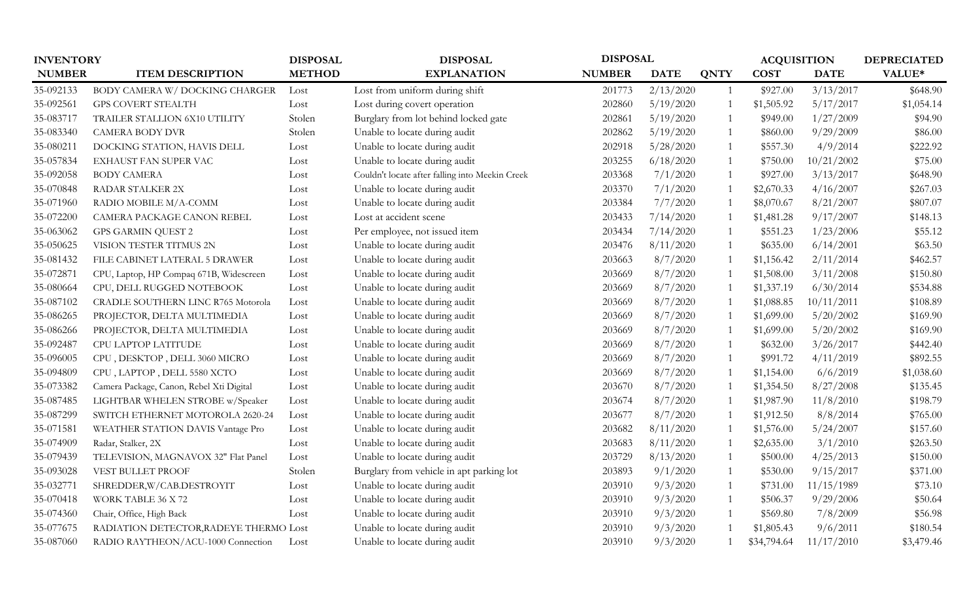| <b>INVENTORY</b> |                                          | <b>DISPOSAL</b> | <b>DISPOSAL</b>                                 |               | <b>DISPOSAL</b> |                | <b>ACQUISITION</b> |             | <b>DEPRECIATED</b> |
|------------------|------------------------------------------|-----------------|-------------------------------------------------|---------------|-----------------|----------------|--------------------|-------------|--------------------|
| <b>NUMBER</b>    | <b>ITEM DESCRIPTION</b>                  | <b>METHOD</b>   | <b>EXPLANATION</b>                              | <b>NUMBER</b> | <b>DATE</b>     | <b>QNTY</b>    | <b>COST</b>        | <b>DATE</b> | VALUE*             |
| 35-092133        | BODY CAMERA W/DOCKING CHARGER            | Lost            | Lost from uniform during shift                  | 201773        | 2/13/2020       | $\overline{1}$ | \$927.00           | 3/13/2017   | \$648.90           |
| 35-092561        | GPS COVERT STEALTH                       | Lost            | Lost during covert operation                    | 202860        | 5/19/2020       |                | \$1,505.92         | 5/17/2017   | \$1,054.14         |
| 35-083717        | TRAILER STALLION 6X10 UTILITY            | Stolen          | Burglary from lot behind locked gate            | 202861        | 5/19/2020       | -1             | \$949.00           | 1/27/2009   | \$94.90            |
| 35-083340        | <b>CAMERA BODY DVR</b>                   | Stolen          | Unable to locate during audit                   | 202862        | 5/19/2020       | $\overline{1}$ | \$860.00           | 9/29/2009   | \$86.00            |
| 35-080211        | DOCKING STATION, HAVIS DELL              | Lost            | Unable to locate during audit                   | 202918        | 5/28/2020       | $\overline{1}$ | \$557.30           | 4/9/2014    | \$222.92           |
| 35-057834        | EXHAUST FAN SUPER VAC                    | Lost            | Unable to locate during audit                   | 203255        | 6/18/2020       | $\mathbf{1}$   | \$750.00           | 10/21/2002  | \$75.00            |
| 35-092058        | <b>BODY CAMERA</b>                       | Lost            | Couldn't locate after falling into Meekin Creek | 203368        | 7/1/2020        | $\overline{1}$ | \$927.00           | 3/13/2017   | \$648.90           |
| 35-070848        | <b>RADAR STALKER 2X</b>                  | Lost            | Unable to locate during audit                   | 203370        | 7/1/2020        |                | \$2,670.33         | 4/16/2007   | \$267.03           |
| 35-071960        | RADIO MOBILE M/A-COMM                    | Lost            | Unable to locate during audit                   | 203384        | 7/7/2020        | $\overline{1}$ | \$8,070.67         | 8/21/2007   | \$807.07           |
| 35-072200        | CAMERA PACKAGE CANON REBEL               | Lost            | Lost at accident scene                          | 203433        | 7/14/2020       | $\overline{1}$ | \$1,481.28         | 9/17/2007   | \$148.13           |
| 35-063062        | <b>GPS GARMIN QUEST 2</b>                | Lost            | Per employee, not issued item                   | 203434        | 7/14/2020       | -1             | \$551.23           | 1/23/2006   | \$55.12            |
| 35-050625        | VISION TESTER TITMUS 2N                  | Lost            | Unable to locate during audit                   | 203476        | 8/11/2020       | -1             | \$635.00           | 6/14/2001   | \$63.50            |
| 35-081432        | FILE CABINET LATERAL 5 DRAWER            | Lost            | Unable to locate during audit                   | 203663        | 8/7/2020        | $\overline{1}$ | \$1,156.42         | 2/11/2014   | \$462.57           |
| 35-072871        | CPU, Laptop, HP Compaq 671B, Widescreen  | Lost            | Unable to locate during audit                   | 203669        | 8/7/2020        | $\overline{1}$ | \$1,508.00         | 3/11/2008   | \$150.80           |
| 35-080664        | CPU, DELL RUGGED NOTEBOOK                | Lost            | Unable to locate during audit                   | 203669        | 8/7/2020        |                | \$1,337.19         | 6/30/2014   | \$534.88           |
| 35-087102        | CRADLE SOUTHERN LINC R765 Motorola       | Lost            | Unable to locate during audit                   | 203669        | 8/7/2020        |                | \$1,088.85         | 10/11/2011  | \$108.89           |
| 35-086265        | PROJECTOR, DELTA MULTIMEDIA              | Lost            | Unable to locate during audit                   | 203669        | 8/7/2020        | $\overline{1}$ | \$1,699.00         | 5/20/2002   | \$169.90           |
| 35-086266        | PROJECTOR, DELTA MULTIMEDIA              | Lost            | Unable to locate during audit                   | 203669        | 8/7/2020        |                | \$1,699.00         | 5/20/2002   | \$169.90           |
| 35-092487        | CPU LAPTOP LATITUDE                      | Lost            | Unable to locate during audit                   | 203669        | 8/7/2020        | -1             | \$632.00           | 3/26/2017   | \$442.40           |
| 35-096005        | CPU, DESKTOP, DELL 3060 MICRO            | Lost            | Unable to locate during audit                   | 203669        | 8/7/2020        |                | \$991.72           | 4/11/2019   | \$892.55           |
| 35-094809        | CPU, LAPTOP, DELL 5580 XCTO              | Lost            | Unable to locate during audit                   | 203669        | 8/7/2020        | $\overline{1}$ | \$1,154.00         | 6/6/2019    | \$1,038.60         |
| 35-073382        | Camera Package, Canon, Rebel Xti Digital | Lost            | Unable to locate during audit                   | 203670        | 8/7/2020        |                | \$1,354.50         | 8/27/2008   | \$135.45           |
| 35-087485        | LIGHTBAR WHELEN STROBE w/Speaker         | Lost            | Unable to locate during audit                   | 203674        | 8/7/2020        |                | \$1,987.90         | 11/8/2010   | \$198.79           |
| 35-087299        | SWITCH ETHERNET MOTOROLA 2620-24         | Lost            | Unable to locate during audit                   | 203677        | 8/7/2020        | -1             | \$1,912.50         | 8/8/2014    | \$765.00           |
| 35-071581        | WEATHER STATION DAVIS Vantage Pro        | Lost            | Unable to locate during audit                   | 203682        | 8/11/2020       | $\overline{1}$ | \$1,576.00         | 5/24/2007   | \$157.60           |
| 35-074909        | Radar, Stalker, 2X                       | Lost            | Unable to locate during audit                   | 203683        | 8/11/2020       | $\mathbf 1$    | \$2,635.00         | 3/1/2010    | \$263.50           |
| 35-079439        | TELEVISION, MAGNAVOX 32" Flat Panel      | Lost            | Unable to locate during audit                   | 203729        | 8/13/2020       | -1             | \$500.00           | 4/25/2013   | \$150.00           |
| 35-093028        | VEST BULLET PROOF                        | Stolen          | Burglary from vehicle in apt parking lot        | 203893        | 9/1/2020        | 1              | \$530.00           | 9/15/2017   | \$371.00           |
| 35-032771        | SHREDDER, W/CAB.DESTROYIT                | Lost            | Unable to locate during audit                   | 203910        | 9/3/2020        | 1              | \$731.00           | 11/15/1989  | \$73.10            |
| 35-070418        | WORK TABLE 36 X 72                       | Lost            | Unable to locate during audit                   | 203910        | 9/3/2020        | $\mathbf{1}$   | \$506.37           | 9/29/2006   | \$50.64            |
| 35-074360        | Chair, Office, High Back                 | Lost            | Unable to locate during audit                   | 203910        | 9/3/2020        | $\overline{1}$ | \$569.80           | 7/8/2009    | \$56.98            |
| 35-077675        | RADIATION DETECTOR, RADEYE THERMO Lost   |                 | Unable to locate during audit                   | 203910        | 9/3/2020        |                | \$1,805.43         | 9/6/2011    | \$180.54           |
| 35-087060        | RADIO RAYTHEON/ACU-1000 Connection       | Lost            | Unable to locate during audit                   | 203910        | 9/3/2020        |                | \$34,794.64        | 11/17/2010  | \$3,479.46         |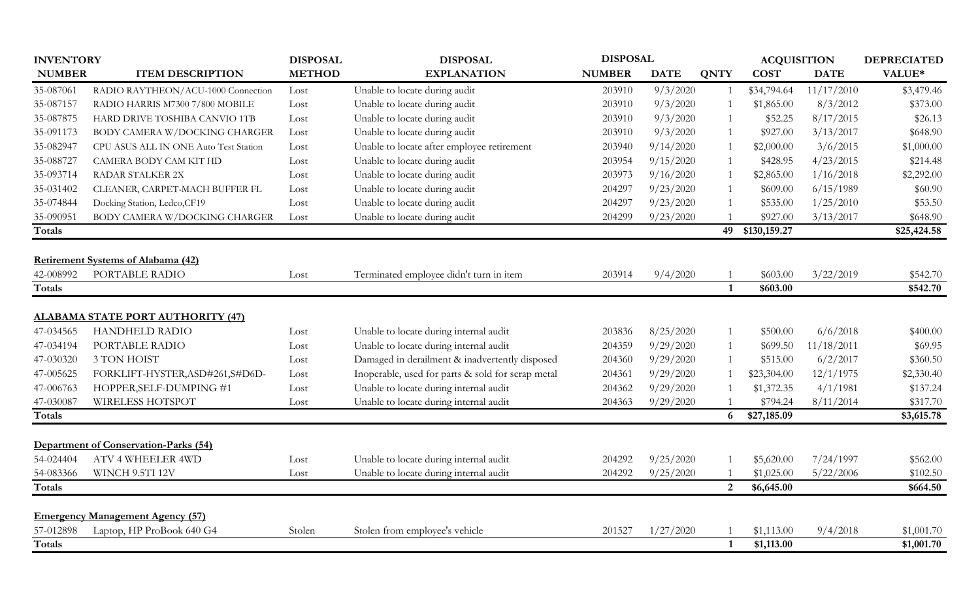| <b>INVENTORY</b> |                                          | <b>DISPOSAL</b> | <b>DISPOSAL</b>                                   |               | <b>DISPOSAL</b> |                | <b>ACQUISITION</b> |             | <b>DEPRECIATED</b> |
|------------------|------------------------------------------|-----------------|---------------------------------------------------|---------------|-----------------|----------------|--------------------|-------------|--------------------|
| <b>NUMBER</b>    | <b>ITEM DESCRIPTION</b>                  | <b>METHOD</b>   | <b>EXPLANATION</b>                                | <b>NUMBER</b> | <b>DATE</b>     | <b>QNTY</b>    | <b>COST</b>        | <b>DATE</b> | VALUE*             |
| 35-087061        | RADIO RAYTHEON/ACU-1000 Connection       | Lost            | Unable to locate during audit                     | 203910        | 9/3/2020        |                | \$34,794.64        | 11/17/2010  | \$3,479.46         |
| 35-087157        | RADIO HARRIS M7300 7/800 MOBILE          | Lost            | Unable to locate during audit                     | 203910        | 9/3/2020        |                | \$1,865.00         | 8/3/2012    | \$373.00           |
| 35-087875        | HARD DRIVE TOSHIBA CANVIO 1TB            | Lost            | Unable to locate during audit                     | 203910        | 9/3/2020        |                | \$52.25            | 8/17/2015   | \$26.13            |
| 35-091173        | BODY CAMERA W/DOCKING CHARGER            | Lost            | Unable to locate during audit                     | 203910        | 9/3/2020        |                | \$927.00           | 3/13/2017   | \$648.90           |
| 35-082947        | CPU ASUS ALL IN ONE Auto Test Station    | Lost            | Unable to locate after employee retirement        | 203940        | 9/14/2020       |                | \$2,000.00         | 3/6/2015    | \$1,000.00         |
| 35-088727        | CAMERA BODY CAM KIT HD                   | Lost            | Unable to locate during audit                     | 203954        | 9/15/2020       |                | \$428.95           | 4/23/2015   | \$214.48           |
| 35-093714        | RADAR STALKER 2X                         | Lost            | Unable to locate during audit                     | 203973        | 9/16/2020       |                | \$2,865.00         | 1/16/2018   | \$2,292.00         |
| 35-031402        | CLEANER, CARPET-MACH BUFFER FL           | Lost            | Unable to locate during audit                     | 204297        | 9/23/2020       |                | \$609.00           | 6/15/1989   | \$60.90            |
| 35-074844        | Docking Station, Ledco, CF19             | Lost            | Unable to locate during audit                     | 204297        | 9/23/2020       |                | \$535.00           | 1/25/2010   | \$53.50            |
| 35-090951        | <b>BODY CAMERA W/DOCKING CHARGER</b>     | Lost            | Unable to locate during audit                     | 204299        | 9/23/2020       |                | \$927.00           | 3/13/2017   | \$648.90           |
| Totals           |                                          |                 |                                                   |               |                 |                | 49 \$130,159.27    |             | \$25,424.58        |
|                  |                                          |                 |                                                   |               |                 |                |                    |             |                    |
|                  | Retirement Systems of Alabama (42)       |                 |                                                   |               |                 |                |                    |             |                    |
| 42-008992        | PORTABLE RADIO                           | Lost            | Terminated employee didn't turn in item           | 203914        | 9/4/2020        |                | \$603.00           | 3/22/2019   | \$542.70           |
| <b>Totals</b>    |                                          |                 |                                                   |               |                 | $\mathbf{1}$   | \$603.00           |             | \$542.70           |
|                  |                                          |                 |                                                   |               |                 |                |                    |             |                    |
|                  | <b>ALABAMA STATE PORT AUTHORITY (47)</b> |                 |                                                   |               |                 |                |                    |             |                    |
| 47-034565        | <b>HANDHELD RADIO</b>                    | Lost            | Unable to locate during internal audit            | 203836        | 8/25/2020       |                | \$500.00           | 6/6/2018    | \$400.00           |
| 47-034194        | PORTABLE RADIO                           | Lost            | Unable to locate during internal audit            | 204359        | 9/29/2020       |                | \$699.50           | 11/18/2011  | \$69.95            |
| 47-030320        | 3 TON HOIST                              | Lost            | Damaged in derailment & inadvertently disposed    | 204360        | 9/29/2020       |                | \$515.00           | 6/2/2017    | \$360.50           |
| 47-005625        | FORKLIFT-HYSTER, ASD#261, S#D6D-         | Lost            | Inoperable, used for parts & sold for scrap metal | 204361        | 9/29/2020       |                | \$23,304.00        | 12/1/1975   | \$2,330.40         |
| 47-006763        | HOPPER, SELF-DUMPING #1                  | Lost            | Unable to locate during internal audit            | 204362        | 9/29/2020       |                | \$1,372.35         | 4/1/1981    | \$137.24           |
| 47-030087        | WIRELESS HOTSPOT                         | Lost            | Unable to locate during internal audit            | 204363        | 9/29/2020       |                | \$794.24           | 8/11/2014   | \$317.70           |
| Totals           |                                          |                 |                                                   |               |                 | 6              | \$27,185.09        |             | \$3,615.78         |
|                  |                                          |                 |                                                   |               |                 |                |                    |             |                    |
|                  | Department of Conservation-Parks (54)    |                 |                                                   |               |                 |                |                    |             |                    |
| 54-024404        | <b>ATV 4 WHEELER 4WD</b>                 | Lost            | Unable to locate during internal audit            | 204292        | 9/25/2020       |                | \$5,620.00         | 7/24/1997   | \$562.00           |
| 54-083366        | WINCH 9.5TI 12V                          | Lost            | Unable to locate during internal audit            | 204292        | 9/25/2020       |                | \$1,025.00         | 5/22/2006   | \$102.50           |
| <b>Totals</b>    |                                          |                 |                                                   |               |                 | $\overline{2}$ | \$6,645.00         |             | \$664.50           |
|                  |                                          |                 |                                                   |               |                 |                |                    |             |                    |
|                  | <b>Emergency Management Agency (57)</b>  |                 |                                                   |               |                 |                |                    |             |                    |
| 57-012898        | Laptop, HP ProBook 640 G4                | Stolen          | Stolen from employee's vehicle                    | 201527        | 1/27/2020       |                | \$1,113.00         | 9/4/2018    | \$1,001.70         |
| <b>Totals</b>    |                                          |                 |                                                   |               |                 | 1              | \$1,113.00         |             | \$1,001.70         |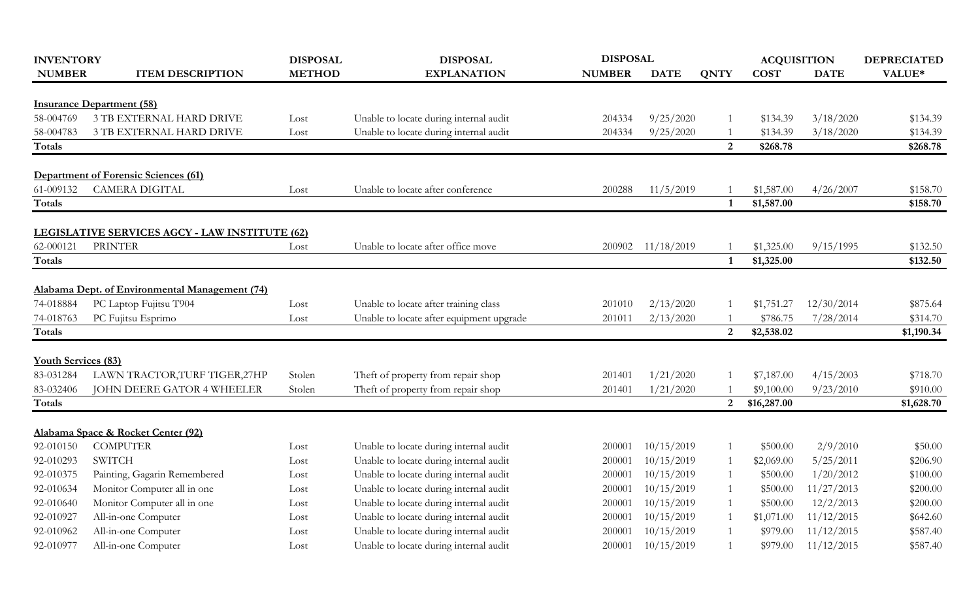| <b>INVENTORY</b>           |                                                                  | <b>DISPOSAL</b> | <b>DISPOSAL</b>                                                                  |               | <b>DISPOSAL</b> |                | <b>ACQUISITION</b> |             | <b>DEPRECIATED</b>   |
|----------------------------|------------------------------------------------------------------|-----------------|----------------------------------------------------------------------------------|---------------|-----------------|----------------|--------------------|-------------|----------------------|
| <b>NUMBER</b>              | <b>ITEM DESCRIPTION</b>                                          | <b>METHOD</b>   | <b>EXPLANATION</b>                                                               | <b>NUMBER</b> | <b>DATE</b>     | <b>QNTY</b>    | <b>COST</b>        | <b>DATE</b> | VALUE*               |
|                            | <b>Insurance Department (58)</b>                                 |                 |                                                                                  |               |                 |                |                    |             |                      |
| 58-004769                  | 3 TB EXTERNAL HARD DRIVE                                         | Lost            |                                                                                  | 204334        | 9/25/2020       |                | \$134.39           | 3/18/2020   | \$134.39             |
| 58-004783                  | <b>3 TB EXTERNAL HARD DRIVE</b>                                  |                 | Unable to locate during internal audit<br>Unable to locate during internal audit | 204334        |                 |                | \$134.39           |             |                      |
| Totals                     |                                                                  | Lost            |                                                                                  |               | 9/25/2020       | 2              | \$268.78           | 3/18/2020   | \$134.39<br>\$268.78 |
|                            |                                                                  |                 |                                                                                  |               |                 |                |                    |             |                      |
|                            | <b>Department of Forensic Sciences (61)</b>                      |                 |                                                                                  |               |                 |                |                    |             |                      |
| 61-009132                  | <b>CAMERA DIGITAL</b>                                            | Lost            | Unable to locate after conference                                                | 200288        | 11/5/2019       |                | \$1,587.00         | 4/26/2007   | \$158.70             |
| <b>Totals</b>              |                                                                  |                 |                                                                                  |               |                 | $\mathbf{1}$   | \$1,587.00         |             | \$158.70             |
|                            |                                                                  |                 |                                                                                  |               |                 |                |                    |             |                      |
| 62-000121                  | LEGISLATIVE SERVICES AGCY - LAW INSTITUTE (62)<br><b>PRINTER</b> | Lost            | Unable to locate after office move                                               | 200902        | 11/18/2019      |                | \$1,325.00         | 9/15/1995   | \$132.50             |
| <b>Totals</b>              |                                                                  |                 |                                                                                  |               |                 | $\mathbf{1}$   | \$1,325.00         |             | \$132.50             |
|                            |                                                                  |                 |                                                                                  |               |                 |                |                    |             |                      |
|                            | Alabama Dept. of Environmental Management (74)                   |                 |                                                                                  |               |                 |                |                    |             |                      |
| 74-018884                  | PC Laptop Fujitsu T904                                           | Lost            | Unable to locate after training class                                            | 201010        | 2/13/2020       |                | \$1,751.27         | 12/30/2014  | \$875.64             |
| 74-018763                  | PC Fujitsu Esprimo                                               | Lost            | Unable to locate after equipment upgrade                                         | 201011        | 2/13/2020       |                | \$786.75           | 7/28/2014   | \$314.70             |
| Totals                     |                                                                  |                 |                                                                                  |               |                 | $\overline{2}$ | \$2,538.02         |             | \$1,190.34           |
| <b>Youth Services (83)</b> |                                                                  |                 |                                                                                  |               |                 |                |                    |             |                      |
| 83-031284                  | LAWN TRACTOR, TURF TIGER, 27HP                                   | Stolen          | Theft of property from repair shop                                               | 201401        | 1/21/2020       |                | \$7,187.00         | 4/15/2003   | \$718.70             |
| 83-032406                  | JOHN DEERE GATOR 4 WHEELER                                       | Stolen          | Theft of property from repair shop                                               | 201401        | 1/21/2020       |                | \$9,100.00         | 9/23/2010   | \$910.00             |
| Totals                     |                                                                  |                 |                                                                                  |               |                 | 2 <sup>1</sup> | \$16,287.00        |             | \$1,628.70           |
|                            |                                                                  |                 |                                                                                  |               |                 |                |                    |             |                      |
|                            | Alabama Space & Rocket Center (92)                               |                 |                                                                                  |               |                 |                |                    |             |                      |
| 92-010150                  | <b>COMPUTER</b>                                                  | Lost            | Unable to locate during internal audit                                           | 200001        | 10/15/2019      |                | \$500.00           | 2/9/2010    | \$50.00              |
| 92-010293                  | <b>SWITCH</b>                                                    | Lost            | Unable to locate during internal audit                                           | 200001        | 10/15/2019      |                | \$2,069.00         | 5/25/2011   | \$206.90             |
| 92-010375                  | Painting, Gagarin Remembered                                     | Lost            | Unable to locate during internal audit                                           | 200001        | 10/15/2019      |                | \$500.00           | 1/20/2012   | \$100.00             |
| 92-010634                  | Monitor Computer all in one                                      | Lost            | Unable to locate during internal audit                                           | 200001        | 10/15/2019      |                | \$500.00           | 11/27/2013  | \$200.00             |
| 92-010640                  | Monitor Computer all in one                                      | Lost            | Unable to locate during internal audit                                           | 200001        | 10/15/2019      |                | \$500.00           | 12/2/2013   | \$200.00             |
| 92-010927                  | All-in-one Computer                                              | Lost            | Unable to locate during internal audit                                           | 200001        | 10/15/2019      |                | \$1,071.00         | 11/12/2015  | \$642.60             |
| 92-010962                  | All-in-one Computer                                              | Lost            | Unable to locate during internal audit                                           | 200001        | 10/15/2019      |                | \$979.00           | 11/12/2015  | \$587.40             |
| 92-010977                  | All-in-one Computer                                              | Lost            | Unable to locate during internal audit                                           | 200001        | 10/15/2019      |                | \$979.00           | 11/12/2015  | \$587.40             |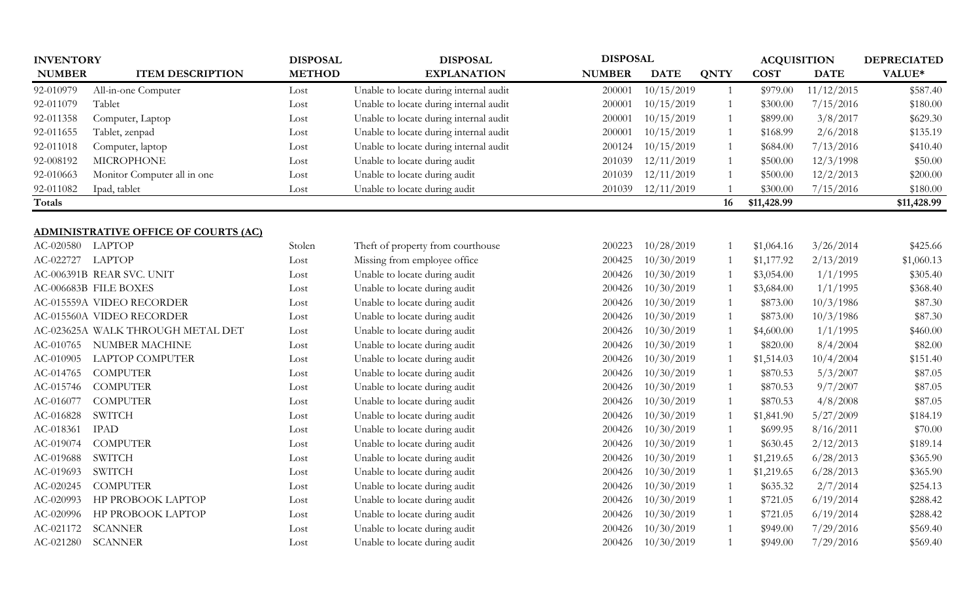| <b>INVENTORY</b> |                                      | <b>DISPOSAL</b> | <b>DISPOSAL</b>                        | <b>DISPOSAL</b> |             |                | <b>ACQUISITION</b> |             | <b>DEPRECIATED</b> |
|------------------|--------------------------------------|-----------------|----------------------------------------|-----------------|-------------|----------------|--------------------|-------------|--------------------|
| <b>NUMBER</b>    | <b>ITEM DESCRIPTION</b>              | <b>METHOD</b>   | <b>EXPLANATION</b>                     | <b>NUMBER</b>   | <b>DATE</b> | <b>QNTY</b>    | <b>COST</b>        | <b>DATE</b> | VALUE*             |
| 92-010979        | All-in-one Computer                  | Lost            | Unable to locate during internal audit | 200001          | 10/15/2019  | 1              | \$979.00           | 11/12/2015  | \$587.40           |
| 92-011079        | Tablet                               | Lost            | Unable to locate during internal audit | 200001          | 10/15/2019  | $\mathbf{1}$   | \$300.00           | 7/15/2016   | \$180.00           |
| 92-011358        | Computer, Laptop                     | Lost            | Unable to locate during internal audit | 200001          | 10/15/2019  | $\overline{1}$ | \$899.00           | 3/8/2017    | \$629.30           |
| 92-011655        | Tablet, zenpad                       | Lost            | Unable to locate during internal audit | 200001          | 10/15/2019  | $\overline{1}$ | \$168.99           | 2/6/2018    | \$135.19           |
| 92-011018        | Computer, laptop                     | Lost            | Unable to locate during internal audit | 200124          | 10/15/2019  | $\overline{1}$ | \$684.00           | 7/13/2016   | \$410.40           |
| 92-008192        | <b>MICROPHONE</b>                    | Lost            | Unable to locate during audit          | 201039          | 12/11/2019  | $\overline{1}$ | \$500.00           | 12/3/1998   | \$50.00            |
| 92-010663        | Monitor Computer all in one          | Lost            | Unable to locate during audit          | 201039          | 12/11/2019  |                | \$500.00           | 12/2/2013   | \$200.00           |
| 92-011082        | Ipad, tablet                         | Lost            | Unable to locate during audit          | 201039          | 12/11/2019  | $\overline{1}$ | \$300.00           | 7/15/2016   | \$180.00           |
| Totals           |                                      |                 |                                        |                 |             | 16             | \$11,428.99        |             | \$11,428.99        |
|                  |                                      |                 |                                        |                 |             |                |                    |             |                    |
|                  | ADMINISTRATIVE OFFICE OF COURTS (AC) |                 |                                        |                 |             |                |                    |             |                    |
| AC-020580 LAPTOP |                                      | Stolen          | Theft of property from courthouse      | 200223          | 10/28/2019  | -1             | \$1,064.16         | 3/26/2014   | \$425.66           |
| AC-022727        | LAPTOP                               | Lost            | Missing from employee office           | 200425          | 10/30/2019  | $\mathbf{1}$   | \$1,177.92         | 2/13/2019   | \$1,060.13         |
|                  | AC-006391B REAR SVC. UNIT            | Lost            | Unable to locate during audit          | 200426          | 10/30/2019  |                | \$3,054.00         | 1/1/1995    | \$305.40           |
|                  | AC-006683B FILE BOXES                | Lost            | Unable to locate during audit          | 200426          | 10/30/2019  | $\overline{1}$ | \$3,684.00         | 1/1/1995    | \$368.40           |
|                  | AC-015559A VIDEO RECORDER            | Lost            | Unable to locate during audit          | 200426          | 10/30/2019  | $\overline{1}$ | \$873.00           | 10/3/1986   | \$87.30            |
|                  | AC-015560A VIDEO RECORDER            | Lost            | Unable to locate during audit          | 200426          | 10/30/2019  | $\overline{1}$ | \$873.00           | 10/3/1986   | \$87.30            |
|                  | AC-023625A WALK THROUGH METAL DET    | Lost            | Unable to locate during audit          | 200426          | 10/30/2019  | $\overline{1}$ | \$4,600.00         | 1/1/1995    | \$460.00           |
| AC-010765        | <b>NUMBER MACHINE</b>                | Lost            | Unable to locate during audit          | 200426          | 10/30/2019  |                | \$820.00           | 8/4/2004    | \$82.00            |
| AC-010905        | <b>LAPTOP COMPUTER</b>               | Lost            | Unable to locate during audit          | 200426          | 10/30/2019  | -1             | \$1,514.03         | 10/4/2004   | \$151.40           |
| AC-014765        | <b>COMPUTER</b>                      | Lost            | Unable to locate during audit          | 200426          | 10/30/2019  | $\overline{1}$ | \$870.53           | 5/3/2007    | \$87.05            |
| AC-015746        | <b>COMPUTER</b>                      | Lost            | Unable to locate during audit          | 200426          | 10/30/2019  | $\overline{1}$ | \$870.53           | 9/7/2007    | \$87.05            |
| AC-016077        | <b>COMPUTER</b>                      | Lost            | Unable to locate during audit          | 200426          | 10/30/2019  | $\overline{1}$ | \$870.53           | 4/8/2008    | \$87.05            |
| AC-016828        | <b>SWITCH</b>                        | Lost            | Unable to locate during audit          | 200426          | 10/30/2019  | -1             | \$1,841.90         | 5/27/2009   | \$184.19           |
| AC-018361        | <b>IPAD</b>                          | Lost            | Unable to locate during audit          | 200426          | 10/30/2019  | $\overline{1}$ | \$699.95           | 8/16/2011   | \$70.00            |
| AC-019074        | <b>COMPUTER</b>                      | Lost            | Unable to locate during audit          | 200426          | 10/30/2019  | $\overline{1}$ | \$630.45           | 2/12/2013   | \$189.14           |
| AC-019688        | <b>SWITCH</b>                        | Lost            | Unable to locate during audit          | 200426          | 10/30/2019  | -1             | \$1,219.65         | 6/28/2013   | \$365.90           |
| AC-019693        | <b>SWITCH</b>                        | Lost            | Unable to locate during audit          | 200426          | 10/30/2019  | $\overline{1}$ | \$1,219.65         | 6/28/2013   | \$365.90           |
| AC-020245        | <b>COMPUTER</b>                      | Lost            | Unable to locate during audit          | 200426          | 10/30/2019  | $\overline{1}$ | \$635.32           | 2/7/2014    | \$254.13           |
| AC-020993        | HP PROBOOK LAPTOP                    | Lost            | Unable to locate during audit          | 200426          | 10/30/2019  | $\overline{1}$ | \$721.05           | 6/19/2014   | \$288.42           |
| AC-020996        | HP PROBOOK LAPTOP                    | Lost            | Unable to locate during audit          | 200426          | 10/30/2019  | $\overline{1}$ | \$721.05           | 6/19/2014   | \$288.42           |
| AC-021172        | <b>SCANNER</b>                       | Lost            | Unable to locate during audit          | 200426          | 10/30/2019  | $\mathbf{1}$   | \$949.00           | 7/29/2016   | \$569.40           |
| AC-021280        | <b>SCANNER</b>                       | Lost            | Unable to locate during audit          | 200426          | 10/30/2019  | $\overline{1}$ | \$949.00           | 7/29/2016   | \$569.40           |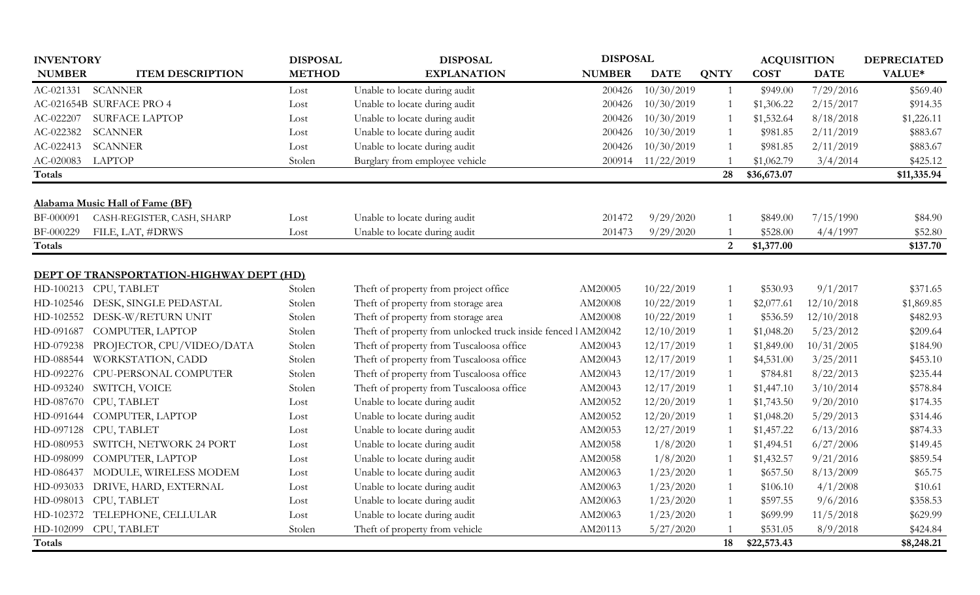| <b>INVENTORY</b> |                                                 | <b>DISPOSAL</b> | <b>DISPOSAL</b>                                              |               | <b>DISPOSAL</b> |                |             | <b>ACQUISITION</b> |             |  |
|------------------|-------------------------------------------------|-----------------|--------------------------------------------------------------|---------------|-----------------|----------------|-------------|--------------------|-------------|--|
| <b>NUMBER</b>    | <b>ITEM DESCRIPTION</b>                         | <b>METHOD</b>   | <b>EXPLANATION</b>                                           | <b>NUMBER</b> | <b>DATE</b>     | <b>QNTY</b>    | <b>COST</b> | <b>DATE</b>        | VALUE*      |  |
| AC-021331        | <b>SCANNER</b>                                  | Lost            | Unable to locate during audit                                | 200426        | 10/30/2019      | 1              | \$949.00    | 7/29/2016          | \$569.40    |  |
|                  | AC-021654B SURFACE PRO 4                        | Lost            | Unable to locate during audit                                | 200426        | 10/30/2019      | 1              | \$1,306.22  | 2/15/2017          | \$914.35    |  |
| AC-022207        | <b>SURFACE LAPTOP</b>                           | Lost            | Unable to locate during audit                                | 200426        | 10/30/2019      |                | \$1,532.64  | 8/18/2018          | \$1,226.11  |  |
| AC-022382        | <b>SCANNER</b>                                  | Lost            | Unable to locate during audit                                | 200426        | 10/30/2019      | $\mathbf{1}$   | \$981.85    | 2/11/2019          | \$883.67    |  |
| AC-022413        | <b>SCANNER</b>                                  | Lost            | Unable to locate during audit                                | 200426        | 10/30/2019      | $\mathbf{1}$   | \$981.85    | 2/11/2019          | \$883.67    |  |
| AC-020083        | LAPTOP                                          | Stolen          | Burglary from employee vehicle                               | 200914        | 11/22/2019      |                | \$1,062.79  | 3/4/2014           | \$425.12    |  |
| Totals           |                                                 |                 |                                                              |               |                 | 28             | \$36,673.07 |                    | \$11,335.94 |  |
|                  |                                                 |                 |                                                              |               |                 |                |             |                    |             |  |
|                  | Alabama Music Hall of Fame (BF)                 |                 |                                                              |               |                 |                |             |                    |             |  |
| BF-000091        | CASH-REGISTER, CASH, SHARP                      | Lost            | Unable to locate during audit                                | 201472        | 9/29/2020       | -1             | \$849.00    | 7/15/1990          | \$84.90     |  |
| BF-000229        | FILE, LAT, #DRWS                                | Lost            | Unable to locate during audit                                | 201473        | 9/29/2020       |                | \$528.00    | 4/4/1997           | \$52.80     |  |
| Totals           |                                                 |                 |                                                              |               |                 | $\overline{2}$ | \$1,377.00  |                    | \$137.70    |  |
|                  |                                                 |                 |                                                              |               |                 |                |             |                    |             |  |
|                  | <b>DEPT OF TRANSPORTATION-HIGHWAY DEPT (HD)</b> |                 |                                                              |               |                 |                |             |                    |             |  |
| HD-100213        | CPU, TABLET                                     | Stolen          | Theft of property from project office                        | AM20005       | 10/22/2019      |                | \$530.93    | 9/1/2017           | \$371.65    |  |
| HD-102546        | DESK, SINGLE PEDASTAL                           | Stolen          | Theft of property from storage area                          | AM20008       | 10/22/2019      | 1              | \$2,077.61  | 12/10/2018         | \$1,869.85  |  |
| HD-102552        | DESK-W/RETURN UNIT                              | Stolen          | Theft of property from storage area                          | AM20008       | 10/22/2019      | 1              | \$536.59    | 12/10/2018         | \$482.93    |  |
| HD-091687        | COMPUTER, LAPTOP                                | Stolen          | Theft of property from unlocked truck inside fenced lAM20042 |               | 12/10/2019      | 1              | \$1,048.20  | 5/23/2012          | \$209.64    |  |
| HD-079238        | PROJECTOR, CPU/VIDEO/DATA                       | Stolen          | Theft of property from Tuscaloosa office                     | AM20043       | 12/17/2019      | $\mathbf{1}$   | \$1,849.00  | 10/31/2005         | \$184.90    |  |
| HD-088544        | WORKSTATION, CADD                               | Stolen          | Theft of property from Tuscaloosa office                     | AM20043       | 12/17/2019      | $\mathbf{1}$   | \$4,531.00  | 3/25/2011          | \$453.10    |  |
| HD-092276        | CPU-PERSONAL COMPUTER                           | Stolen          | Theft of property from Tuscaloosa office                     | AM20043       | 12/17/2019      | $\mathbf{1}$   | \$784.81    | 8/22/2013          | \$235.44    |  |
| HD-093240        | SWITCH, VOICE                                   | Stolen          | Theft of property from Tuscaloosa office                     | AM20043       | 12/17/2019      |                | \$1,447.10  | 3/10/2014          | \$578.84    |  |
| HD-087670        | CPU, TABLET                                     | Lost            | Unable to locate during audit                                | AM20052       | 12/20/2019      | $\mathbf{1}$   | \$1,743.50  | 9/20/2010          | \$174.35    |  |
| HD-091644        | COMPUTER, LAPTOP                                | Lost            | Unable to locate during audit                                | AM20052       | 12/20/2019      | $\mathbf{1}$   | \$1,048.20  | 5/29/2013          | \$314.46    |  |
| HD-097128        | CPU, TABLET                                     | Lost            | Unable to locate during audit                                | AM20053       | 12/27/2019      | $\mathbf{1}$   | \$1,457.22  | 6/13/2016          | \$874.33    |  |
| HD-080953        | SWITCH, NETWORK 24 PORT                         | Lost            | Unable to locate during audit                                | AM20058       | 1/8/2020        | 1              | \$1,494.51  | 6/27/2006          | \$149.45    |  |
| HD-098099        | COMPUTER, LAPTOP                                | Lost            | Unable to locate during audit                                | AM20058       | 1/8/2020        | 1              | \$1,432.57  | 9/21/2016          | \$859.54    |  |
| HD-086437        | MODULE, WIRELESS MODEM                          | Lost            | Unable to locate during audit                                | AM20063       | 1/23/2020       | $\mathbf{1}$   | \$657.50    | 8/13/2009          | \$65.75     |  |
| HD-093033        | DRIVE, HARD, EXTERNAL                           | Lost            | Unable to locate during audit                                | AM20063       | 1/23/2020       | $\mathbf{1}$   | \$106.10    | 4/1/2008           | \$10.61     |  |
| HD-098013        | CPU, TABLET                                     | Lost            | Unable to locate during audit                                | AM20063       | 1/23/2020       | 1              | \$597.55    | 9/6/2016           | \$358.53    |  |
| HD-102372        | TELEPHONE, CELLULAR                             | Lost            | Unable to locate during audit                                | AM20063       | 1/23/2020       | $\mathbf{1}$   | \$699.99    | 11/5/2018          | \$629.99    |  |
| HD-102099        | CPU, TABLET                                     | Stolen          | Theft of property from vehicle                               | AM20113       | 5/27/2020       | $\mathbf{1}$   | \$531.05    | 8/9/2018           | \$424.84    |  |
| <b>Totals</b>    |                                                 |                 |                                                              |               |                 | 18             | \$22,573.43 |                    | \$8,248.21  |  |